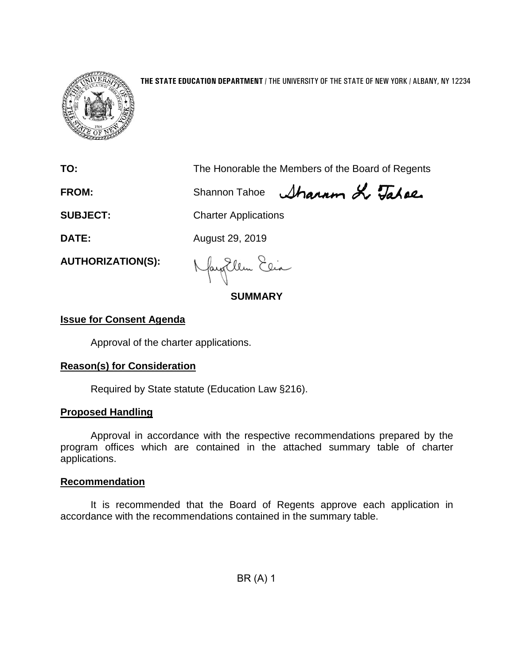

### **THE STATE EDUCATION DEPARTMENT** / THE UNIVERSITY OF THE STATE OF NEW YORK / ALBANY, NY 12234

**TO:** The Honorable the Members of the Board of Regents

FROM: Shannon Tahoe *Sharam & Tahae* 

**SUBJECT:** Charter Applications

**DATE:** August 29, 2019

**AUTHORIZATION(S):**

fayitlem Elia

## **SUMMARY**

## **Issue for Consent Agenda**

Approval of the charter applications.

## **Reason(s) for Consideration**

Required by State statute (Education Law §216).

## **Proposed Handling**

Approval in accordance with the respective recommendations prepared by the program offices which are contained in the attached summary table of charter applications.

## **Recommendation**

It is recommended that the Board of Regents approve each application in accordance with the recommendations contained in the summary table.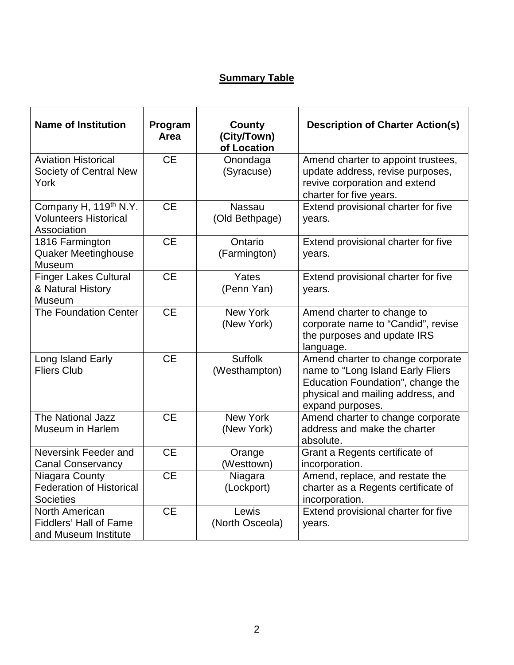# **Summary Table**

| <b>Name of Institution</b>                                                       | Program<br>Area | County<br>(City/Town)<br>of Location | <b>Description of Charter Action(s)</b>                                                                                                                              |
|----------------------------------------------------------------------------------|-----------------|--------------------------------------|----------------------------------------------------------------------------------------------------------------------------------------------------------------------|
| <b>Aviation Historical</b><br>Society of Central New<br>York                     | <b>CE</b>       | Onondaga<br>(Syracuse)               | Amend charter to appoint trustees,<br>update address, revise purposes,<br>revive corporation and extend<br>charter for five years.                                   |
| Company H, 119 <sup>th</sup> N.Y.<br><b>Volunteers Historical</b><br>Association | <b>CE</b>       | <b>Nassau</b><br>(Old Bethpage)      | Extend provisional charter for five<br>years.                                                                                                                        |
| 1816 Farmington<br><b>Quaker Meetinghouse</b><br>Museum                          | <b>CE</b>       | Ontario<br>(Farmington)              | Extend provisional charter for five<br>years.                                                                                                                        |
| <b>Finger Lakes Cultural</b><br>& Natural History<br>Museum                      | <b>CE</b>       | Yates<br>(Penn Yan)                  | Extend provisional charter for five<br>years.                                                                                                                        |
| The Foundation Center                                                            | <b>CE</b>       | <b>New York</b><br>(New York)        | Amend charter to change to<br>corporate name to "Candid", revise<br>the purposes and update IRS<br>language.                                                         |
| Long Island Early<br><b>Fliers Club</b>                                          | <b>CE</b>       | <b>Suffolk</b><br>(Westhampton)      | Amend charter to change corporate<br>name to "Long Island Early Fliers<br>Education Foundation", change the<br>physical and mailing address, and<br>expand purposes. |
| The National Jazz<br>Museum in Harlem                                            | <b>CE</b>       | <b>New York</b><br>(New York)        | Amend charter to change corporate<br>address and make the charter<br>absolute.                                                                                       |
| Neversink Feeder and<br><b>Canal Conservancy</b>                                 | <b>CE</b>       | Orange<br>(Westtown)                 | Grant a Regents certificate of<br>incorporation.                                                                                                                     |
| Niagara County<br><b>Federation of Historical</b><br><b>Societies</b>            | <b>CE</b>       | Niagara<br>(Lockport)                | Amend, replace, and restate the<br>charter as a Regents certificate of<br>incorporation.                                                                             |
| <b>North American</b><br><b>Fiddlers' Hall of Fame</b><br>and Museum Institute   | <b>CE</b>       | Lewis<br>(North Osceola)             | Extend provisional charter for five<br>years.                                                                                                                        |